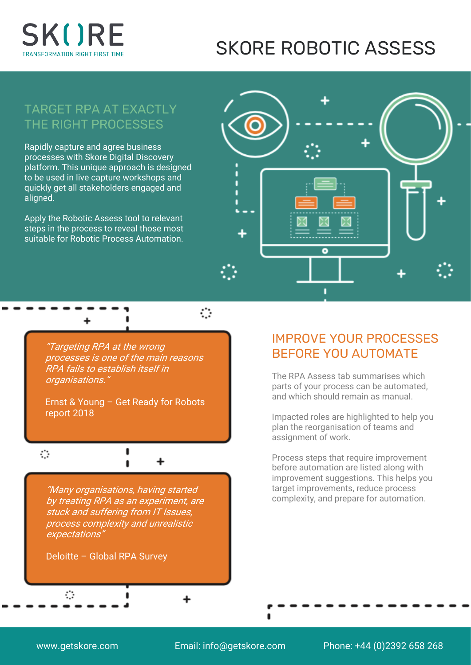

# SKORE ROBOTIC ASSESS

## TARGET RPA AT EXACTLY THE RIGHT PROCESSES

Rapidly capture and agree business processes with Skore Digital Discovery platform. This unique approach is designed to be used in live capture workshops and quickly get all stakeholders engaged and aligned.

Apply the Robotic Assess tool to relevant steps in the process to reveal those most suitable for Robotic Process Automation.



"Targeting RPA at the wrong processes is one of the main reasons RPA fails to establish itself in organisations."

Ernst & Young – Get Ready for Robots report 2018

 $\blacksquare$ 

ï

+

#### $\mathcal{L}$

"Many organisations, having started by treating RPA as an experiment, are stuck and suffering from IT Issues, process complexity and unrealistic expectations"

Deloitte – Global RPA Survey

#### IMPROVE YOUR PROCESSES BEFORE YOU AUTOMATE

The RPA Assess tab summarises which parts of your process can be automated, and which should remain as manual.

Impacted roles are highlighted to help you plan the reorganisation of teams and assignment of work.

Process steps that require improvement before automation are listed along with improvement suggestions. This helps you target improvements, reduce process complexity, and prepare for automation.

 $\ddot{\phantom{a}}$